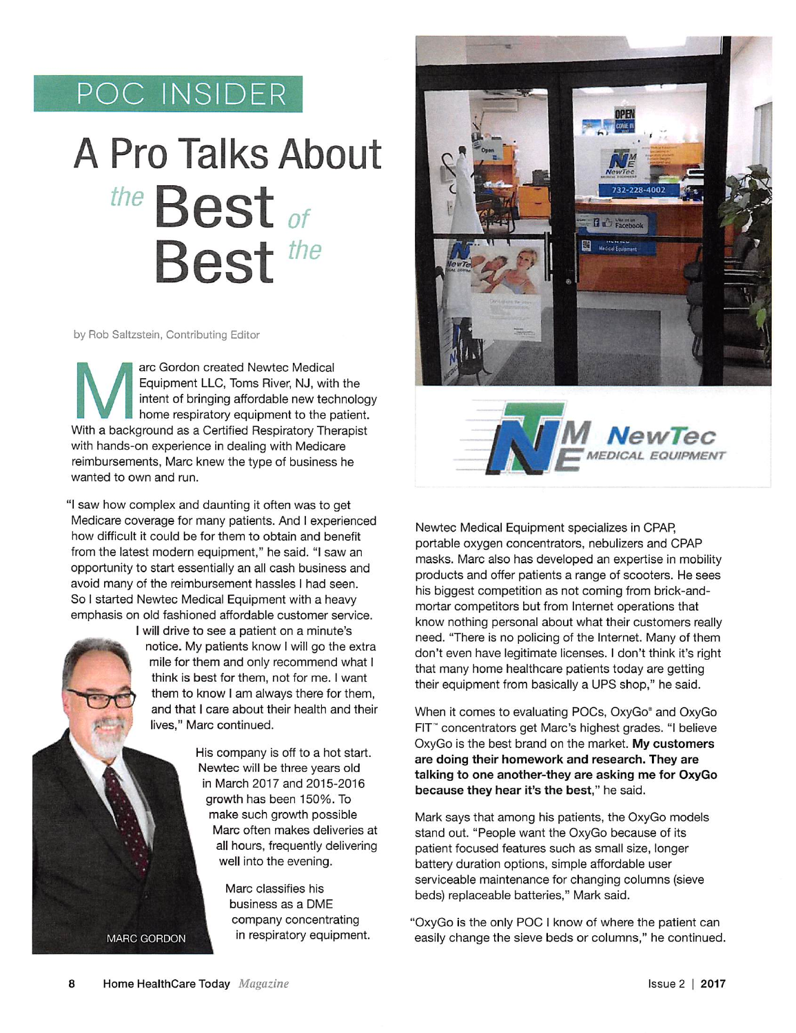## POC INSIDER

## A Pro Talks About Best of Best<sup>the</sup>

by Rob Saltzstein, Contributing Editor

arc Gordon created Newtec Medical<br>Equipment LLC, Toms River, NJ, with the<br>intent of bringing affordable new technolog<br>home respiratory equipment to the patient.<br>With a background as a Certified Respiratory Therapist arc Gordon created Newtec Medical Equipment LLC, Toms River, NJ, with the intent of bringing affordable new technology home respiratory equipment to the patient. with hands-on experience in dealing with Medicare reimbursements, Marc knew the type of business he wanted to own and run.

"I saw how complex and daunting it often was to get Medicare coverage for many patients. And I experienced how difficult it could be for them to obtain and benefit from the latest modern equipment," he said. "I saw an opportunity to start essentially an all cash business and avoid many of the reimbursement hassles I had seen. So I started Newtec Medical Equipment with a heavy emphasis on old fashioned affordable customer service.

I will drive to see a patient on a minute's notice. My patients know I will go the extra<br>
mile for them and only recommend what I<br>
think is best for them and for me. I want mile for them and only recommend what I think is best for them, not for me. I want them to know I am always there for them, and that I care about their health and their lives," Marc continued.

> His company is off to a hot start. Newtec will be three years old in March 2017 and 2015-2016 growth has been 150%. To make such growth possible Marc often makes deliveries at all hours, frequently delivering well into the evening.

> > Marc classifies his business as a DME company concentrating in respiratory equipment.





Newtec Medical Equipment specializes in CPAR portable oxygen concentrators, nebulizers and CRAP masks. Marc also has developed an expertise in mobility products and offer patients a range of scooters. He sees his biggest competition as not coming from brick-andmortar competitors but from Internet operations that know nothing personal about what their customers really need. "There is no policing of the Internet. Many of them don't even have legitimate licenses. I don't think it's right that many home healthcare patients today are getting their equipment from basically a UPS shop," he said.

When it comes to evaluating POCs, OxyGo® and OxyGo FIT'" concentrators get Marc's highest grades. "I believe OxyGo is the best brand on the market. My customers are doing their homework and research. They are talking to one another-they are asking me for OxyGo because they hear it's the best," he said.

Mark says that among his patients, the OxyGo models stand out. "People want the OxyGo because of its patient focused features such as small size, longer battery duration options, simple affordable user serviceable maintenance for changing columns (sieve beds) replaceable batteries," Mark said.

"OxyGo is the only POC I know of where the patient can easily change the sieve beds or columns," he continued.

MARC GORDON

'4'